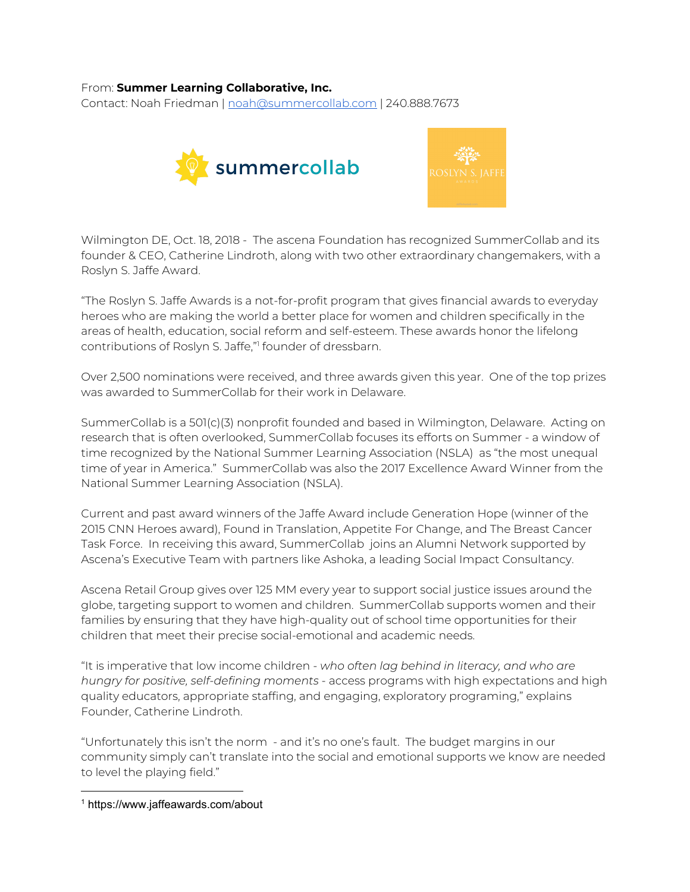## From: **Summer Learning Collaborative, Inc.**

Contact: Noah Friedman | [noah@summercollab.com](mailto:noah@summercollab.com) | 240.888.7673





Wilmington DE, Oct. 18, 2018 - The ascena Foundation has recognized SummerCollab and its founder & CEO, Catherine Lindroth, along with two other extraordinary changemakers, with a Roslyn S. Jaffe Award.

"The Roslyn S. Jaffe Awards is a not-for-profit program that gives financial awards to everyday heroes who are making the world a better place for women and children specifically in the areas of health, education, social reform and self-esteem. These awards honor the lifelong contributions of Roslyn S. Jaffe," founder of dressbarn. 1

Over 2,500 nominations were received, and three awards given this year. One of the top prizes was awarded to SummerCollab for their work in Delaware.

SummerCollab is a 501(c)(3) nonprofit founded and based in Wilmington, Delaware. Acting on research that is often overlooked, SummerCollab focuses its efforts on Summer - a window of time recognized by the National Summer Learning Association (NSLA) as "the most unequal time of year in America." SummerCollab was also the 2017 Excellence Award Winner from the National Summer Learning Association (NSLA).

Current and past award winners of the Jaffe Award include Generation Hope (winner of the 2015 CNN Heroes award), Found in Translation, Appetite For Change, and The Breast Cancer Task Force. In receiving this award, SummerCollab joins an Alumni Network supported by Ascena's Executive Team with partners like Ashoka, a leading Social Impact Consultancy.

Ascena Retail Group gives over 125 MM every year to support social justice issues around the globe, targeting support to women and children. SummerCollab supports women and their families by ensuring that they have high-quality out of school time opportunities for their children that meet their precise social-emotional and academic needs.

"It is imperative that low income children - *who often lag behind in literacy, and who are hungry for positive, self-defining moments* - access programs with high expectations and high quality educators, appropriate staffing, and engaging, exploratory programing," explains Founder, Catherine Lindroth.

"Unfortunately this isn't the norm - and it's no one's fault. The budget margins in our community simply can't translate into the social and emotional supports we know are needed to level the playing field."

<sup>1</sup> https://www.jaffeawards.com/about